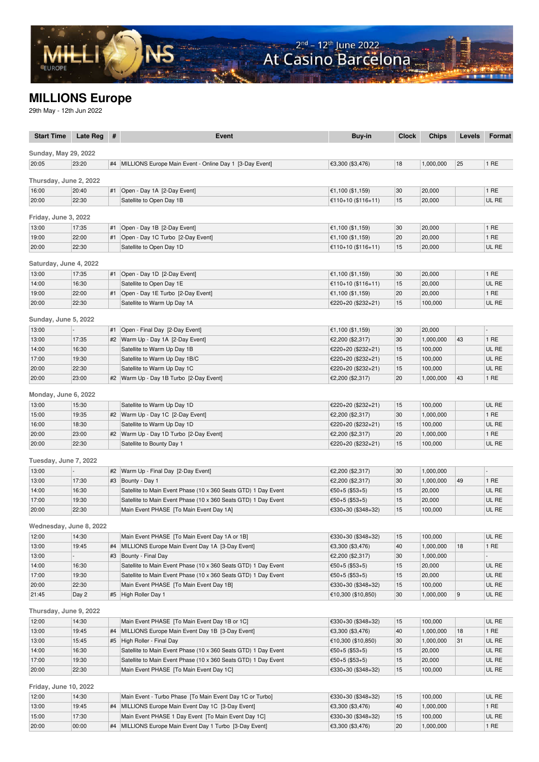## **MILLIONS Europe**

29th May - 12th Jun 2022

| <b>Start Time</b>           | Late Reg       | #  | Event                                                                  | Buy-in                                 | <b>Clock</b> | <b>Chips</b>         | <b>Levels</b> | <b>Format</b>  |
|-----------------------------|----------------|----|------------------------------------------------------------------------|----------------------------------------|--------------|----------------------|---------------|----------------|
|                             |                |    |                                                                        |                                        |              |                      |               |                |
| <b>Sunday, May 29, 2022</b> |                |    |                                                                        |                                        |              |                      |               |                |
| 20:05                       | 23:20          |    | #4   MILLIONS Europe Main Event - Online Day 1 [3-Day Event]           | €3,300 (\$3,476)                       | 18           | 1,000,000            | 25            | 1 RE           |
| Thursday, June 2, 2022      |                |    |                                                                        |                                        |              |                      |               |                |
| 16:00                       | 20:40          | #1 | Open - Day 1A [2-Day Event]                                            | €1,100 (\$1,159)                       | 30           | 20,000               |               | 1 RE           |
| 20:00                       | 22:30          |    | Satellite to Open Day 1B                                               | €110+10 (\$116+11)                     | 15           | 20,000               |               | UL RE          |
|                             |                |    |                                                                        |                                        |              |                      |               |                |
| Friday, June 3, 2022        |                |    |                                                                        |                                        |              |                      |               |                |
| 13:00                       | 17:35          | #1 | Open - Day 1B [2-Day Event]                                            | €1,100 (\$1,159)                       | 30           | 20,000               |               | 1 RE           |
| 19:00                       | 22:00          |    | #1 Open - Day 1C Turbo [2-Day Event]                                   | €1,100 (\$1,159)                       | 20           | 20,000               |               | 1 RE           |
| 20:00                       | 22:30          |    | Satellite to Open Day 1D                                               | €110+10 (\$116+11)                     | 15           | 20,000               |               | UL RE          |
| Saturday, June 4, 2022      |                |    |                                                                        |                                        |              |                      |               |                |
| 13:00                       | 17:35          | #1 | Open - Day 1D [2-Day Event]                                            | €1,100 $(\$1,159)$                     | 30           | 20,000               |               | 1 RE           |
| 14:00                       | 16:30          |    | Satellite to Open Day 1E                                               | €110+10 (\$116+11)                     | 15           | 20,000               |               | UL RE          |
| 19:00                       | 22:00          | #1 | Open - Day 1E Turbo [2-Day Event]                                      | €1,100 (\$1,159)                       | 20           | 20,000               |               | 1 RE           |
| 20:00                       | 22:30          |    | Satellite to Warm Up Day 1A                                            | €220+20 (\$232+21)                     | 15           | 100,000              |               | UL RE          |
|                             |                |    |                                                                        |                                        |              |                      |               |                |
| Sunday, June 5, 2022        |                |    |                                                                        |                                        |              |                      |               |                |
| 13:00                       | $\overline{a}$ | #1 | Open - Final Day [2-Day Event]                                         | €1,100 (\$1,159)                       | 30           | 20,000               |               | $\overline{a}$ |
| 13:00                       | 17:35          |    | #2   Warm Up - Day 1A [2-Day Event]                                    | €2,200 (\$2,317)                       | 30           | 1,000,000            | 43            | 1 RE           |
| 14:00                       | 16:30          |    | Satellite to Warm Up Day 1B                                            | €220+20 (\$232+21)                     | 15           | 100,000              |               | UL RE          |
| 17:00                       | 19:30          |    | Satellite to Warm Up Day 1B/C                                          | €220+20 (\$232+21)                     | 15           | 100,000              |               | UL RE          |
| 20:00                       | 22:30          |    | Satellite to Warm Up Day 1C                                            | €220+20 (\$232+21)                     | 15           | 100,000              |               | UL RE          |
| 20:00                       | 23:00          |    | #2   Warm Up - Day 1B Turbo [2-Day Event]                              | €2,200 (\$2,317)                       | 20           | 1,000,000            | 43            | 1 RE           |
|                             |                |    |                                                                        |                                        |              |                      |               |                |
| Monday, June 6, 2022        |                |    |                                                                        |                                        |              |                      |               |                |
| 13:00                       | 15:30          |    | Satellite to Warm Up Day 1D                                            | €220+20 (\$232+21)                     | 15           | 100,000              |               | UL RE          |
| 15:00                       | 19:35          |    | #2   Warm Up - Day 1C [2-Day Event]                                    | €2,200 (\$2,317)                       | 30           | 1,000,000            |               | 1 RE           |
| 16:00                       | 18:30          |    | Satellite to Warm Up Day 1D                                            | €220+20 (\$232+21)                     | 15           | 100,000              |               | UL RE<br>1 RE  |
| 20:00<br>20:00              | 23:00<br>22:30 |    | #2   Warm Up - Day 1D Turbo [2-Day Event]<br>Satellite to Bounty Day 1 | €2,200 (\$2,317)<br>€220+20 (\$232+21) | 20<br>15     | 1,000,000<br>100,000 |               | UL RE          |
|                             |                |    |                                                                        |                                        |              |                      |               |                |
| Tuesday, June 7, 2022       |                |    |                                                                        |                                        |              |                      |               |                |
| 13:00                       | Ξ.             | #2 | Warm Up - Final Day [2-Day Event]                                      | €2,200 (\$2,317)                       | 30           | 1,000,000            |               | L.             |
| 13:00                       | 17:30          |    | #3   Bounty - Day 1                                                    | €2,200 (\$2,317)                       | 30           | 1,000,000            | 49            | 1 RE           |
| 14:00                       | 16:30          |    | Satellite to Main Event Phase (10 x 360 Seats GTD) 1 Day Event         | €50+5 (\$53+5)                         | 15           | 20,000               |               | UL RE          |
| 17:00                       | 19:30          |    | Satellite to Main Event Phase (10 x 360 Seats GTD) 1 Day Event         | €50+5 (\$53+5)                         | 15           | 20,000               |               | UL RE          |
| 20:00                       | 22:30          |    | Main Event PHASE [To Main Event Day 1A]                                | €330+30 (\$348+32)                     | 15           | 100,000              |               | UL RE          |
|                             |                |    |                                                                        |                                        |              |                      |               |                |
| Wednesday, June 8, 2022     |                |    |                                                                        |                                        |              |                      |               |                |
| 12:00                       | 14:30          |    | Main Event PHASE [To Main Event Day 1A or 1B]                          | €330+30 (\$348+32)                     | 15           | 100,000              |               | UL RE          |
| 13:00                       | 19:45          |    | #4   MILLIONS Europe Main Event Day 1A [3-Day Event]                   | €3,300 (\$3,476)                       | 40           | 1,000,000            | 18            | 1 RE           |
| 13:00                       |                |    | #3   Bounty - Final Day                                                | €2,200 (\$2,317)                       | 30           | 1,000,000            |               |                |
| 14:00                       | 16:30          |    | Satellite to Main Event Phase (10 x 360 Seats GTD) 1 Day Event         | €50+5 (\$53+5)                         | 15           | 20,000               |               | UL RE          |
| 17:00                       | 19:30          |    | Satellite to Main Event Phase (10 x 360 Seats GTD) 1 Day Event         | €50+5 (\$53+5)                         | 15           | 20,000               |               | UL RE          |
| 20:00                       | 22:30          |    | Main Event PHASE [To Main Event Day 1B]                                | €330+30 (\$348+32)                     | 15           | 100,000              |               | UL RE          |
| 21:45                       | Day 2          |    | #5   High Roller Day 1                                                 | €10,300 (\$10,850)                     | 30           | 1,000,000            | 9             | UL RE          |
| Thursday, June 9, 2022      |                |    |                                                                        |                                        |              |                      |               |                |
| 12:00                       | 14:30          |    | Main Event PHASE [To Main Event Day 1B or 1C]                          | €330+30 (\$348+32)                     | 15           | 100,000              |               | UL RE          |
| 13:00                       | 19:45          | #4 | MILLIONS Europe Main Event Day 1B [3-Day Event]                        | €3,300 (\$3,476)                       | 40           | 1,000,000            | 18            | 1 RE           |
| 13:00                       | 15:45          |    | #5 High Roller - Final Day                                             | €10,300 (\$10,850)                     | 30           | 1,000,000            | 31            | UL RE          |
| 14:00                       | 16:30          |    | Satellite to Main Event Phase (10 x 360 Seats GTD) 1 Day Event         | €50+5 (\$53+5)                         | 15           | 20,000               |               | UL RE          |
| 17:00                       | 19:30          |    | Satellite to Main Event Phase (10 x 360 Seats GTD) 1 Day Event         | €50+5 (\$53+5)                         | 15           | 20,000               |               | UL RE          |
| 20:00                       | 22:30          |    | Main Event PHASE [To Main Event Day 1C]                                | €330+30 (\$348+32)                     | 15           | 100,000              |               | UL RE          |
|                             |                |    |                                                                        |                                        |              |                      |               |                |
| Friday, June 10, 2022       |                |    |                                                                        |                                        |              |                      |               |                |
| 12:00                       | 14:30          |    | Main Event - Turbo Phase [To Main Event Day 1C or Turbo]               | €330+30 (\$348+32)                     | 15           | 100,000              |               | UL RE          |
| 13:00                       | 19:45          |    | #4   MILLIONS Europe Main Event Day 1C [3-Day Event]                   | €3,300 (\$3,476)                       | 40           | 1,000,000            |               | 1 RE           |
| 15:00                       | 17:30          |    | Main Event PHASE 1 Day Event [To Main Event Day 1C]                    | €330+30 (\$348+32)                     | 15           | 100,000              |               | UL RE          |
| 20:00                       | 00:00          |    | #4   MILLIONS Europe Main Event Day 1 Turbo [3-Day Event]              | €3,300 (\$3,476)                       | 20           | 1,000,000            |               | 1 RE           |